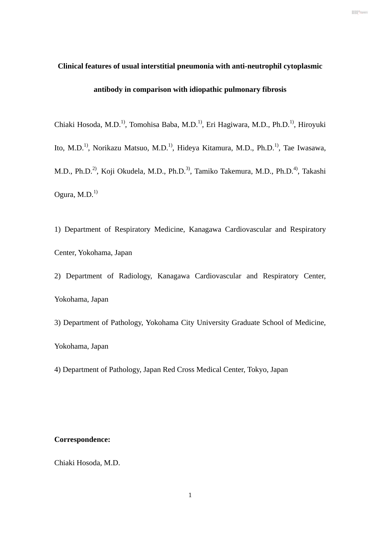# **Clinical features of usual interstitial pneumonia with anti-neutrophil cytoplasmic**

DN : cn=東京慈恵会医科大学, o, ou, email=libedit@jikei.ac.jp, c=JP

# **antibody in comparison with idiopathic pulmonary fibrosis**

Chiaki Hosoda, M.D.1), Tomohisa Baba, M.D.1), Eri Hagiwara, M.D., Ph.D.1), Hiroyuki Ito, M.D.<sup>1)</sup>, Norikazu Matsuo, M.D.<sup>1)</sup>, Hideya Kitamura, M.D., Ph.D.<sup>1)</sup>, Tae Iwasawa, M.D., Ph.D.<sup>2)</sup>, Koji Okudela, M.D., Ph.D.<sup>3)</sup>, Tamiko Takemura, M.D., Ph.D.<sup>4)</sup>, Takashi Ogura,  $M.D.<sup>1</sup>$ 

1) Department of Respiratory Medicine, Kanagawa Cardiovascular and Respiratory Center, Yokohama, Japan

2) Department of Radiology, Kanagawa Cardiovascular and Respiratory Center, Yokohama, Japan

3) Department of Pathology, Yokohama City University Graduate School of Medicine, Yokohama, Japan

4) Department of Pathology, Japan Red Cross Medical Center, Tokyo, Japan

#### **Correspondence:**

Chiaki Hosoda, M.D.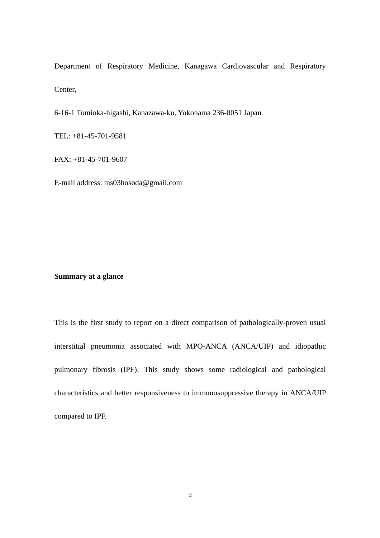Department of Respiratory Medicine, Kanagawa Cardiovascular and Respiratory Center,

6-16-1 Tomioka-higashi, Kanazawa-ku, Yokohama 236-0051 Japan

TEL: +81-45-701-9581

FAX: +81-45-701-9607

E-mail address: ms03hosoda@gmail.com

#### **Summary at a glance**

This is the first study to report on a direct comparison of pathologically-proven usual interstitial pneumonia associated with MPO-ANCA (ANCA/UIP) and idiopathic pulmonary fibrosis (IPF). This study shows some radiological and pathological characteristics and better responsiveness to immunosuppressive therapy in ANCA/UIP compared to IPF.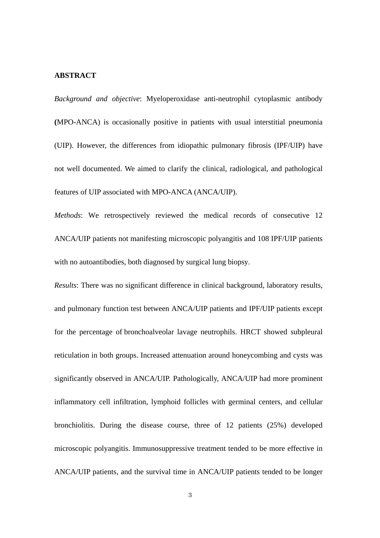#### **ABSTRACT**

*Background and objective*: Myeloperoxidase anti-neutrophil cytoplasmic antibody **(**MPO-ANCA) is occasionally positive in patients with usual interstitial pneumonia (UIP). However, the differences from idiopathic pulmonary fibrosis (IPF/UIP) have not well documented. We aimed to clarify the clinical, radiological, and pathological features of UIP associated with MPO-ANCA (ANCA/UIP).

*Methods*: We retrospectively reviewed the medical records of consecutive 12 ANCA/UIP patients not manifesting microscopic polyangitis and 108 IPF/UIP patients with no autoantibodies, both diagnosed by surgical lung biopsy.

*Results*: There was no significant difference in clinical background, laboratory results, and pulmonary function test between ANCA/UIP patients and IPF/UIP patients except for the percentage of bronchoalveolar lavage neutrophils. HRCT showed subpleural reticulation in both groups. Increased attenuation around honeycombing and cysts was significantly observed in ANCA/UIP. Pathologically, ANCA/UIP had more prominent inflammatory cell infiltration, lymphoid follicles with germinal centers, and cellular bronchiolitis. During the disease course, three of 12 patients (25%) developed microscopic polyangitis. Immunosuppressive treatment tended to be more effective in ANCA/UIP patients, and the survival time in ANCA/UIP patients tended to be longer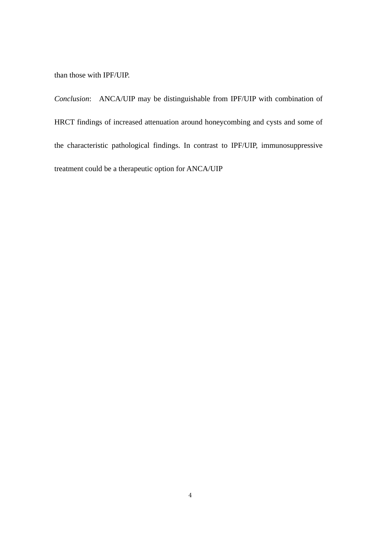than those with IPF/UIP.

*Conclusion*: ANCA/UIP may be distinguishable from IPF/UIP with combination of HRCT findings of increased attenuation around honeycombing and cysts and some of the characteristic pathological findings. In contrast to IPF/UIP, immunosuppressive treatment could be a therapeutic option for ANCA/UIP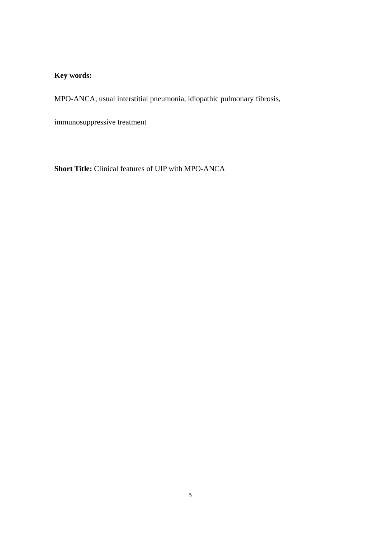## **Key words:**

MPO-ANCA, usual interstitial pneumonia, idiopathic pulmonary fibrosis,

immunosuppressive treatment

**Short Title:** Clinical features of UIP with MPO-ANCA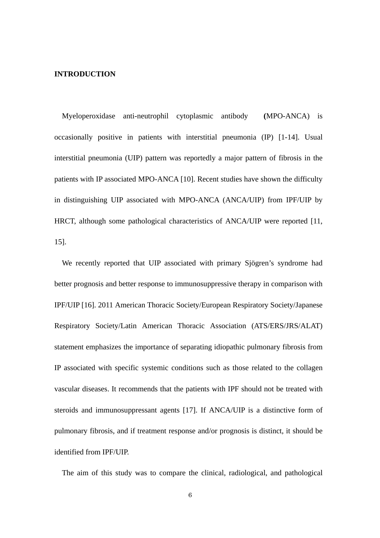#### **INTRODUCTION**

Myeloperoxidase anti-neutrophil cytoplasmic antibody **(**MPO-ANCA) is occasionally positive in patients with interstitial pneumonia (IP) [1-14]. Usual interstitial pneumonia (UIP) pattern was reportedly a major pattern of fibrosis in the patients with IP associated MPO-ANCA [10]. Recent studies have shown the difficulty in distinguishing UIP associated with MPO-ANCA (ANCA/UIP) from IPF/UIP by HRCT, although some pathological characteristics of ANCA/UIP were reported [11, 15].

We recently reported that UIP associated with primary Sjögren's syndrome had better prognosis and better response to immunosuppressive therapy in comparison with IPF/UIP [16]. 2011 American Thoracic Society/European Respiratory Society/Japanese Respiratory Society/Latin American Thoracic Association (ATS/ERS/JRS/ALAT) statement emphasizes the importance of separating idiopathic pulmonary fibrosis from IP associated with specific systemic conditions such as those related to the collagen vascular diseases. It recommends that the patients with IPF should not be treated with steroids and immunosuppressant agents [17]. If ANCA/UIP is a distinctive form of pulmonary fibrosis, and if treatment response and/or prognosis is distinct, it should be identified from IPF/UIP.

The aim of this study was to compare the clinical, radiological, and pathological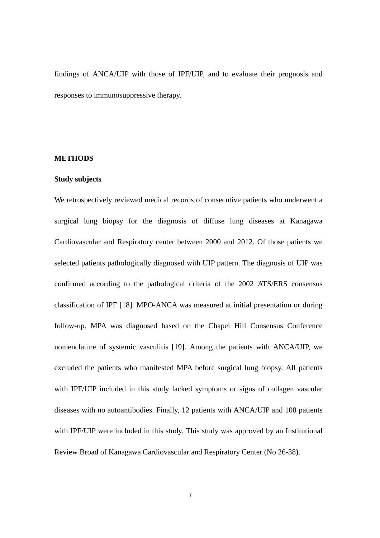findings of ANCA/UIP with those of IPF/UIP, and to evaluate their prognosis and responses to immunosuppressive therapy.

#### **METHODS**

#### **Study subjects**

We retrospectively reviewed medical records of consecutive patients who underwent a surgical lung biopsy for the diagnosis of diffuse lung diseases at Kanagawa Cardiovascular and Respiratory center between 2000 and 2012. Of those patients we selected patients pathologically diagnosed with UIP pattern. The diagnosis of UIP was confirmed according to the pathological criteria of the 2002 ATS/ERS consensus classification of IPF [18]. MPO-ANCA was measured at initial presentation or during follow-up. MPA was diagnosed based on the Chapel Hill Consensus Conference nomenclature of systemic vasculitis [19]. Among the patients with ANCA/UIP, we excluded the patients who manifested MPA before surgical lung biopsy. All patients with IPF/UIP included in this study lacked symptoms or signs of collagen vascular diseases with no autoantibodies. Finally, 12 patients with ANCA/UIP and 108 patients with IPF/UIP were included in this study. This study was approved by an Institutional Review Broad of Kanagawa Cardiovascular and Respiratory Center (No 26-38).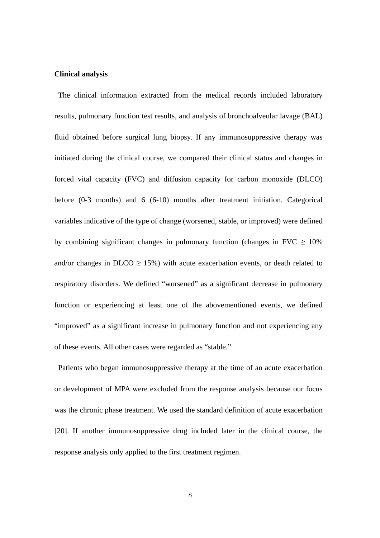#### **Clinical analysis**

The clinical information extracted from the medical records included laboratory results, pulmonary function test results, and analysis of bronchoalveolar lavage (BAL) fluid obtained before surgical lung biopsy. If any immunosuppressive therapy was initiated during the clinical course, we compared their clinical status and changes in forced vital capacity (FVC) and diffusion capacity for carbon monoxide (DLCO) before (0-3 months) and 6 (6-10) months after treatment initiation. Categorical variables indicative of the type of change (worsened, stable, or improved) were defined by combining significant changes in pulmonary function (changes in FVC  $\geq 10\%$ ) and/or changes in  $D<sub>LO</sub> > 15%$ ) with acute exacerbation events, or death related to respiratory disorders. We defined "worsened" as a significant decrease in pulmonary function or experiencing at least one of the abovementioned events, we defined "improved" as a significant increase in pulmonary function and not experiencing any of these events. All other cases were regarded as "stable."

 Patients who began immunosuppressive therapy at the time of an acute exacerbation or development of MPA were excluded from the response analysis because our focus was the chronic phase treatment. We used the standard definition of acute exacerbation [20]. If another immunosuppressive drug included later in the clinical course, the response analysis only applied to the first treatment regimen.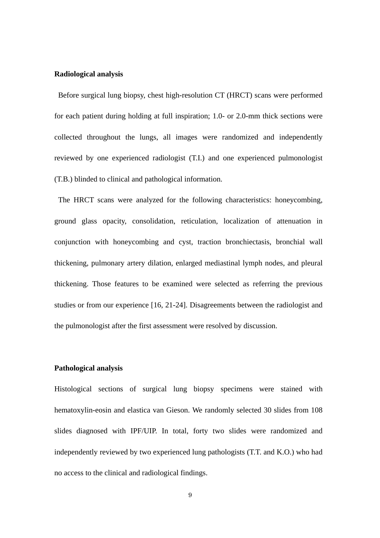#### **Radiological analysis**

 Before surgical lung biopsy, chest high-resolution CT (HRCT) scans were performed for each patient during holding at full inspiration; 1.0- or 2.0-mm thick sections were collected throughout the lungs, all images were randomized and independently reviewed by one experienced radiologist (T.I.) and one experienced pulmonologist (T.B.) blinded to clinical and pathological information.

 The HRCT scans were analyzed for the following characteristics: honeycombing, ground glass opacity, consolidation, reticulation, localization of attenuation in conjunction with honeycombing and cyst, traction bronchiectasis, bronchial wall thickening, pulmonary artery dilation, enlarged mediastinal lymph nodes, and pleural thickening. Those features to be examined were selected as referring the previous studies or from our experience [16, 21-24]. Disagreements between the radiologist and the pulmonologist after the first assessment were resolved by discussion.

#### **Pathological analysis**

Histological sections of surgical lung biopsy specimens were stained with hematoxylin-eosin and elastica van Gieson. We randomly selected 30 slides from 108 slides diagnosed with IPF/UIP. In total, forty two slides were randomized and independently reviewed by two experienced lung pathologists (T.T. and K.O.) who had no access to the clinical and radiological findings.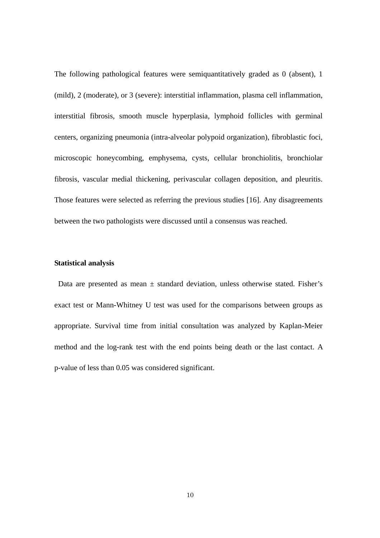The following pathological features were semiquantitatively graded as 0 (absent), 1 (mild), 2 (moderate), or 3 (severe): interstitial inflammation, plasma cell inflammation, interstitial fibrosis, smooth muscle hyperplasia, lymphoid follicles with germinal centers, organizing pneumonia (intra-alveolar polypoid organization), fibroblastic foci, microscopic honeycombing, emphysema, cysts, cellular bronchiolitis, bronchiolar fibrosis, vascular medial thickening, perivascular collagen deposition, and pleuritis. Those features were selected as referring the previous studies [16]. Any disagreements between the two pathologists were discussed until a consensus was reached.

#### **Statistical analysis**

Data are presented as mean  $\pm$  standard deviation, unless otherwise stated. Fisher's exact test or Mann-Whitney U test was used for the comparisons between groups as appropriate. Survival time from initial consultation was analyzed by Kaplan-Meier method and the log-rank test with the end points being death or the last contact. A p-value of less than 0.05 was considered significant.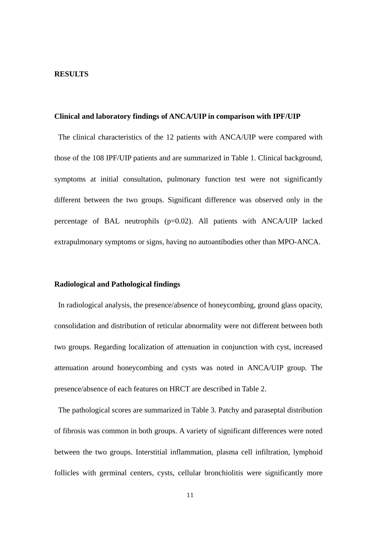#### **RESULTS**

#### **Clinical and laboratory findings of ANCA/UIP in comparison with IPF/UIP**

The clinical characteristics of the 12 patients with ANCA/UIP were compared with those of the 108 IPF/UIP patients and are summarized in Table 1. Clinical background, symptoms at initial consultation, pulmonary function test were not significantly different between the two groups. Significant difference was observed only in the percentage of BAL neutrophils (p=0.02). All patients with ANCA/UIP lacked extrapulmonary symptoms or signs, having no autoantibodies other than MPO-ANCA.

#### **Radiological and Pathological findings**

In radiological analysis, the presence/absence of honeycombing, ground glass opacity, consolidation and distribution of reticular abnormality were not different between both two groups. Regarding localization of attenuation in conjunction with cyst, increased attenuation around honeycombing and cysts was noted in ANCA/UIP group. The presence/absence of each features on HRCT are described in Table 2.

The pathological scores are summarized in Table 3. Patchy and paraseptal distribution of fibrosis was common in both groups. A variety of significant differences were noted between the two groups. Interstitial inflammation, plasma cell infiltration, lymphoid follicles with germinal centers, cysts, cellular bronchiolitis were significantly more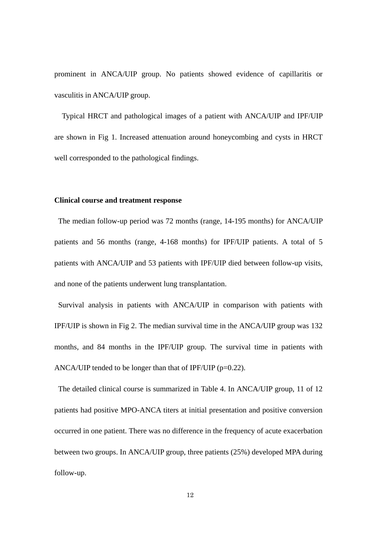prominent in ANCA/UIP group. No patients showed evidence of capillaritis or vasculitis in ANCA/UIP group.

 Typical HRCT and pathological images of a patient with ANCA/UIP and IPF/UIP are shown in Fig 1. Increased attenuation around honeycombing and cysts in HRCT well corresponded to the pathological findings.

#### **Clinical course and treatment response**

 The median follow-up period was 72 months (range, 14-195 months) for ANCA/UIP patients and 56 months (range, 4-168 months) for IPF/UIP patients. A total of 5 patients with ANCA/UIP and 53 patients with IPF/UIP died between follow-up visits, and none of the patients underwent lung transplantation.

 Survival analysis in patients with ANCA/UIP in comparison with patients with IPF/UIP is shown in Fig 2. The median survival time in the ANCA/UIP group was 132 months, and 84 months in the IPF/UIP group. The survival time in patients with ANCA/UIP tended to be longer than that of IPF/UIP ( $p=0.22$ ).

 The detailed clinical course is summarized in Table 4. In ANCA/UIP group, 11 of 12 patients had positive MPO-ANCA titers at initial presentation and positive conversion occurred in one patient. There was no difference in the frequency of acute exacerbation between two groups. In ANCA/UIP group, three patients (25%) developed MPA during follow-up.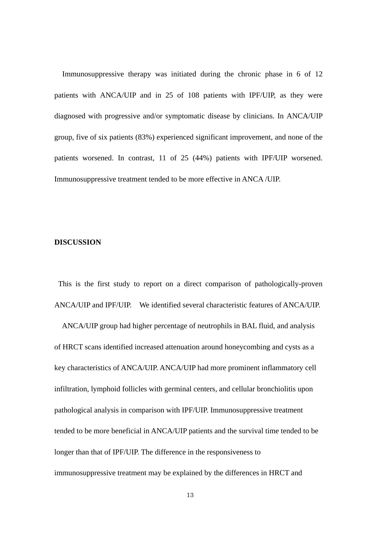Immunosuppressive therapy was initiated during the chronic phase in 6 of 12 patients with ANCA/UIP and in 25 of 108 patients with IPF/UIP, as they were diagnosed with progressive and/or symptomatic disease by clinicians. In ANCA/UIP group, five of six patients (83%) experienced significant improvement, and none of the patients worsened. In contrast, 11 of 25 (44%) patients with IPF/UIP worsened. Immunosuppressive treatment tended to be more effective in ANCA /UIP.

#### **DISCUSSION**

This is the first study to report on a direct comparison of pathologically-proven ANCA/UIP and IPF/UIP. We identified several characteristic features of ANCA/UIP.

ANCA/UIP group had higher percentage of neutrophils in BAL fluid, and analysis of HRCT scans identified increased attenuation around honeycombing and cysts as a key characteristics of ANCA/UIP. ANCA/UIP had more prominent inflammatory cell infiltration, lymphoid follicles with germinal centers, and cellular bronchiolitis upon pathological analysis in comparison with IPF/UIP. Immunosuppressive treatment tended to be more beneficial in ANCA/UIP patients and the survival time tended to be longer than that of IPF/UIP. The difference in the responsiveness to immunosuppressive treatment may be explained by the differences in HRCT and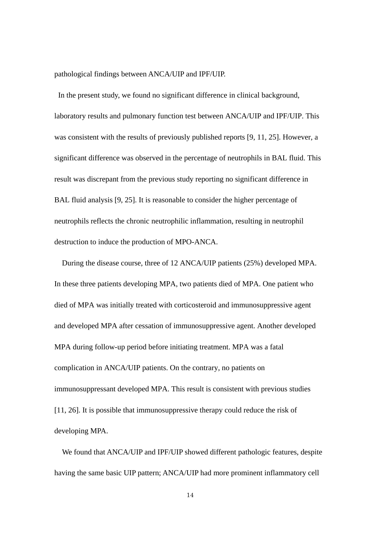#### pathological findings between ANCA/UIP and IPF/UIP.

 In the present study, we found no significant difference in clinical background, laboratory results and pulmonary function test between ANCA/UIP and IPF/UIP. This was consistent with the results of previously published reports [9, 11, 25]. However, a significant difference was observed in the percentage of neutrophils in BAL fluid. This result was discrepant from the previous study reporting no significant difference in BAL fluid analysis [9, 25]. It is reasonable to consider the higher percentage of neutrophils reflects the chronic neutrophilic inflammation, resulting in neutrophil destruction to induce the production of MPO-ANCA.

During the disease course, three of 12 ANCA/UIP patients (25%) developed MPA. In these three patients developing MPA, two patients died of MPA. One patient who died of MPA was initially treated with corticosteroid and immunosuppressive agent and developed MPA after cessation of immunosuppressive agent. Another developed MPA during follow-up period before initiating treatment. MPA was a fatal complication in ANCA/UIP patients. On the contrary, no patients on immunosuppressant developed MPA. This result is consistent with previous studies [11, 26]. It is possible that immunosuppressive therapy could reduce the risk of developing MPA.

We found that ANCA/UIP and IPF/UIP showed different pathologic features, despite having the same basic UIP pattern; ANCA/UIP had more prominent inflammatory cell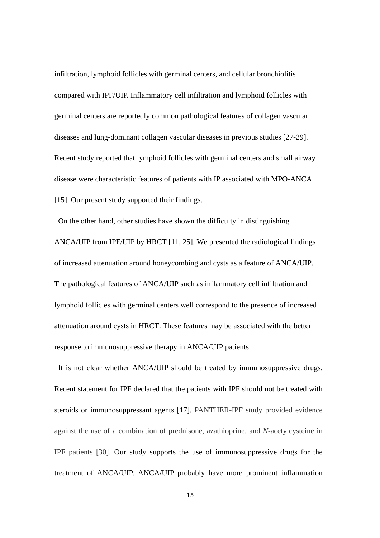infiltration, lymphoid follicles with germinal centers, and cellular bronchiolitis compared with IPF/UIP. Inflammatory cell infiltration and lymphoid follicles with germinal centers are reportedly common pathological features of collagen vascular diseases and lung-dominant collagen vascular diseases in previous studies [27-29]. Recent study reported that lymphoid follicles with germinal centers and small airway disease were characteristic features of patients with IP associated with MPO-ANCA [15]. Our present study supported their findings.

 On the other hand, other studies have shown the difficulty in distinguishing ANCA/UIP from IPF/UIP by HRCT [11, 25]. We presented the radiological findings of increased attenuation around honeycombing and cysts as a feature of ANCA/UIP. The pathological features of ANCA/UIP such as inflammatory cell infiltration and lymphoid follicles with germinal centers well correspond to the presence of increased attenuation around cysts in HRCT. These features may be associated with the better response to immunosuppressive therapy in ANCA/UIP patients.

It is not clear whether ANCA/UIP should be treated by immunosuppressive drugs. Recent statement for IPF declared that the patients with IPF should not be treated with steroids or immunosuppressant agents [17]. PANTHER-IPF study provided evidence against the use of a combination of prednisone, azathioprine, and *N-*acetylcysteine in IPF patients [30]. Our study supports the use of immunosuppressive drugs for the treatment of ANCA/UIP. ANCA/UIP probably have more prominent inflammation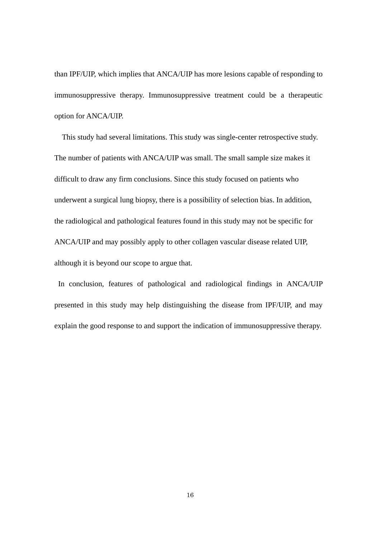than IPF/UIP, which implies that ANCA/UIP has more lesions capable of responding to immunosuppressive therapy. Immunosuppressive treatment could be a therapeutic option for ANCA/UIP.

This study had several limitations. This study was single-center retrospective study. The number of patients with ANCA/UIP was small. The small sample size makes it difficult to draw any firm conclusions. Since this study focused on patients who underwent a surgical lung biopsy, there is a possibility of selection bias. In addition, the radiological and pathological features found in this study may not be specific for ANCA/UIP and may possibly apply to other collagen vascular disease related UIP, although it is beyond our scope to argue that.

In conclusion, features of pathological and radiological findings in ANCA/UIP presented in this study may help distinguishing the disease from IPF/UIP, and may explain the good response to and support the indication of immunosuppressive therapy.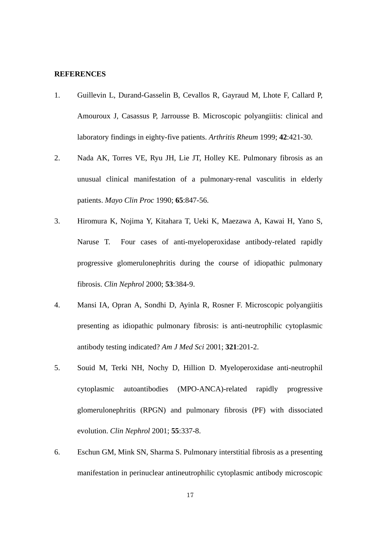#### **REFERENCES**

- 1. Guillevin L, Durand-Gasselin B, Cevallos R, Gayraud M, Lhote F, Callard P, Amouroux J, Casassus P, Jarrousse B. Microscopic polyangiitis: clinical and laboratory findings in eighty-five patients. *Arthritis Rheum* 1999; **42**:421-30.
- 2. Nada AK, Torres VE, Ryu JH, Lie JT, Holley KE. Pulmonary fibrosis as an unusual clinical manifestation of a pulmonary-renal vasculitis in elderly patients. *Mayo Clin Proc* 1990; **65**:847-56.
- 3. Hiromura K, Nojima Y, Kitahara T, Ueki K, Maezawa A, Kawai H, Yano S, Naruse T. Four cases of anti-myeloperoxidase antibody-related rapidly progressive glomerulonephritis during the course of idiopathic pulmonary fibrosis. *Clin Nephrol* 2000; **53**:384-9.
- 4. Mansi IA, Opran A, Sondhi D, Ayinla R, Rosner F. Microscopic polyangiitis presenting as idiopathic pulmonary fibrosis: is anti-neutrophilic cytoplasmic antibody testing indicated? *Am J Med Sci* 2001; **321**:201-2.
- 5. Souid M, Terki NH, Nochy D, Hillion D. Myeloperoxidase anti-neutrophil cytoplasmic autoantibodies (MPO-ANCA)-related rapidly progressive glomerulonephritis (RPGN) and pulmonary fibrosis (PF) with dissociated evolution. *Clin Nephrol* 2001; **55**:337-8.
- 6. Eschun GM, Mink SN, Sharma S. Pulmonary interstitial fibrosis as a presenting manifestation in perinuclear antineutrophilic cytoplasmic antibody microscopic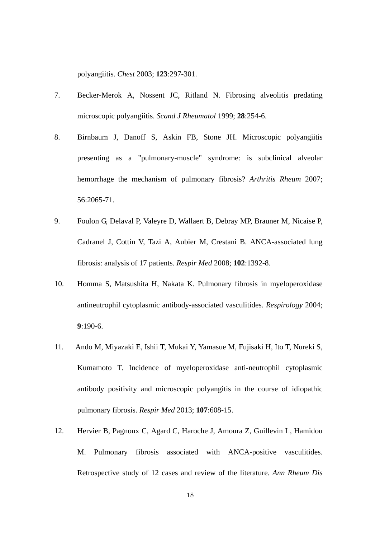polyangiitis. *Chest* 2003; **123**:297-301.

- 7. Becker-Merok A, Nossent JC, Ritland N. Fibrosing alveolitis predating microscopic polyangiitis. *Scand J Rheumatol* 1999; **28**:254-6.
- 8. Birnbaum J, Danoff S, Askin FB, Stone JH. Microscopic polyangiitis presenting as a "pulmonary-muscle" syndrome: is subclinical alveolar hemorrhage the mechanism of pulmonary fibrosis? *Arthritis Rheum* 2007; 56:2065-71.
- 9. Foulon G, Delaval P, Valeyre D, Wallaert B, Debray MP, Brauner M, Nicaise P, Cadranel J, Cottin V, Tazi A, Aubier M, Crestani B. ANCA-associated lung fibrosis: analysis of 17 patients. *Respir Med* 2008; **102**:1392-8.
- 10. Homma S, Matsushita H, Nakata K. Pulmonary fibrosis in myeloperoxidase antineutrophil cytoplasmic antibody-associated vasculitides. *Respirology* 2004; **9**:190-6.
- 11. Ando M, Miyazaki E, Ishii T, Mukai Y, Yamasue M, Fujisaki H, Ito T, Nureki S, Kumamoto T. Incidence of myeloperoxidase anti-neutrophil cytoplasmic antibody positivity and microscopic polyangitis in the course of idiopathic pulmonary fibrosis. *Respir Med* 2013; **107**:608-15.
- 12. Hervier B, Pagnoux C, Agard C, Haroche J, Amoura Z, Guillevin L, Hamidou M. Pulmonary fibrosis associated with ANCA-positive vasculitides. Retrospective study of 12 cases and review of the literature. *Ann Rheum Dis*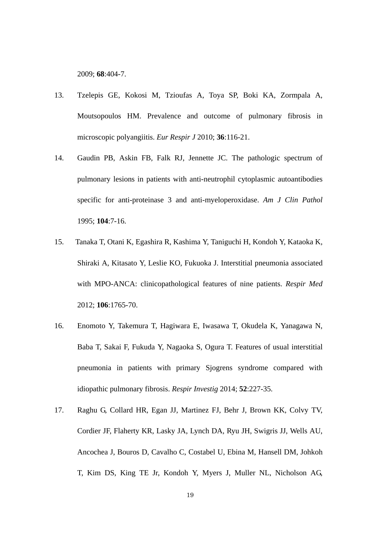2009; **68**:404-7.

- 13. Tzelepis GE, Kokosi M, Tzioufas A, Toya SP, Boki KA, Zormpala A, Moutsopoulos HM. Prevalence and outcome of pulmonary fibrosis in microscopic polyangiitis. *Eur Respir J* 2010; **36**:116-21.
- 14. Gaudin PB, Askin FB, Falk RJ, Jennette JC. The pathologic spectrum of pulmonary lesions in patients with anti-neutrophil cytoplasmic autoantibodies specific for anti-proteinase 3 and anti-myeloperoxidase. *Am J Clin Pathol*  1995; **104**:7-16.
- 15. Tanaka T, Otani K, Egashira R, Kashima Y, Taniguchi H, Kondoh Y, Kataoka K, Shiraki A, Kitasato Y, Leslie KO, Fukuoka J. Interstitial pneumonia associated with MPO-ANCA: clinicopathological features of nine patients. *Respir Med*  2012; **106**:1765-70.
- 16. Enomoto Y, Takemura T, Hagiwara E, Iwasawa T, Okudela K, Yanagawa N, Baba T, Sakai F, Fukuda Y, Nagaoka S, Ogura T. Features of usual interstitial pneumonia in patients with primary Sjogrens syndrome compared with idiopathic pulmonary fibrosis. *Respir Investig* 2014; **52**:227-35.
- 17. Raghu G, Collard HR, Egan JJ, Martinez FJ, Behr J, Brown KK, Colvy TV, Cordier JF, Flaherty KR, Lasky JA, Lynch DA, Ryu JH, Swigris JJ, Wells AU, Ancochea J, Bouros D, Cavalho C, Costabel U, Ebina M, Hansell DM, Johkoh T, Kim DS, King TE Jr, Kondoh Y, Myers J, Muller NL, Nicholson AG,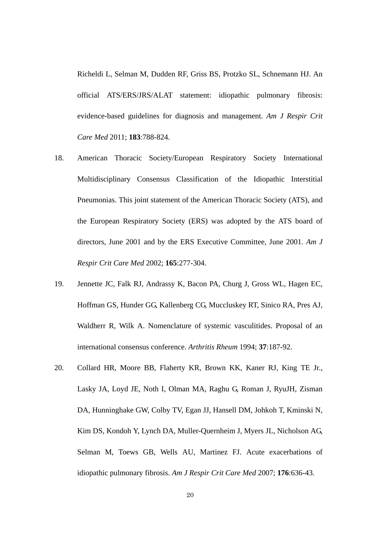Richeldi L, Selman M, Dudden RF, Griss BS, Protzko SL, Schnemann HJ. An official ATS/ERS/JRS/ALAT statement: idiopathic pulmonary fibrosis: evidence-based guidelines for diagnosis and management. *Am J Respir Crit Care Med* 2011; **183**:788-824.

- 18. American Thoracic Society/European Respiratory Society International Multidisciplinary Consensus Classification of the Idiopathic Interstitial Pneumonias. This joint statement of the American Thoracic Society (ATS), and the European Respiratory Society (ERS) was adopted by the ATS board of directors, June 2001 and by the ERS Executive Committee, June 2001. *Am J Respir Crit Care Med* 2002; **165**:277-304.
- 19. Jennette JC, Falk RJ, Andrassy K, Bacon PA, Churg J, Gross WL, Hagen EC, Hoffman GS, Hunder GG, Kallenberg CG, Muccluskey RT, Sinico RA, Pres AJ, Waldherr R, Wilk A. Nomenclature of systemic vasculitides. Proposal of an international consensus conference. *Arthritis Rheum* 1994; **37**:187-92.
- 20. Collard HR, Moore BB, Flaherty KR, Brown KK, Kaner RJ, King TE Jr., Lasky JA, Loyd JE, Noth I, Olman MA, Raghu G, Roman J, RyuJH, Zisman DA, Hunninghake GW, Colby TV, Egan JJ, Hansell DM, Johkoh T, Kminski N, Kim DS, Kondoh Y, Lynch DA, Muller-Quernheim J, Myers JL, Nicholson AG, Selman M, Toews GB, Wells AU, Martinez FJ. Acute exacerbations of idiopathic pulmonary fibrosis. *Am J Respir Crit Care Med* 2007; **176**:636-43.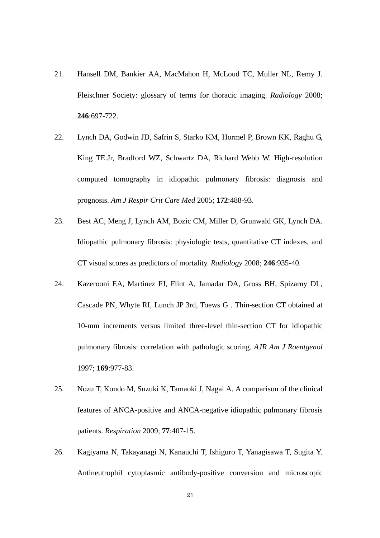- 21. Hansell DM, Bankier AA, MacMahon H, McLoud TC, Muller NL, Remy J. Fleischner Society: glossary of terms for thoracic imaging. *Radiology* 2008; **246**:697-722.
- 22. Lynch DA, Godwin JD, Safrin S, Starko KM, Hormel P, Brown KK, Raghu G, King TE.Jr, Bradford WZ, Schwartz DA, Richard Webb W. High-resolution computed tomography in idiopathic pulmonary fibrosis: diagnosis and prognosis. *Am J Respir Crit Care Med* 2005; **172**:488-93.
- 23. Best AC, Meng J, Lynch AM, Bozic CM, Miller D, Grunwald GK, Lynch DA. Idiopathic pulmonary fibrosis: physiologic tests, quantitative CT indexes, and CT visual scores as predictors of mortality. *Radiology* 2008; **246**:935-40.
- 24. Kazerooni EA, Martinez FJ, Flint A, Jamadar DA, Gross BH, Spizarny DL, Cascade PN, Whyte RI, Lunch JP 3rd, Toews G . Thin-section CT obtained at 10-mm increments versus limited three-level thin-section CT for idiopathic pulmonary fibrosis: correlation with pathologic scoring. *AJR Am J Roentgenol*  1997; **169**:977-83.
- 25. Nozu T, Kondo M, Suzuki K, Tamaoki J, Nagai A. A comparison of the clinical features of ANCA-positive and ANCA-negative idiopathic pulmonary fibrosis patients. *Respiration* 2009; **77**:407-15.
- 26. Kagiyama N, Takayanagi N, Kanauchi T, Ishiguro T, Yanagisawa T, Sugita Y. Antineutrophil cytoplasmic antibody-positive conversion and microscopic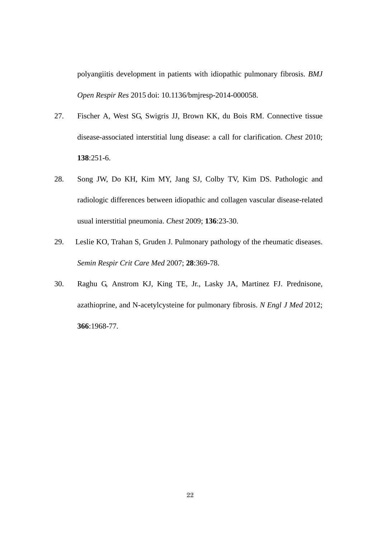polyangiitis development in patients with idiopathic pulmonary fibrosis. *BMJ Open Respir Res* 2015 doi: 10.1136/bmjresp-2014-000058.

- 27. Fischer A, West SG, Swigris JJ, Brown KK, du Bois RM. Connective tissue disease-associated interstitial lung disease: a call for clarification. *Chest* 2010; **138**:251-6.
- 28. Song JW, Do KH, Kim MY, Jang SJ, Colby TV, Kim DS. Pathologic and radiologic differences between idiopathic and collagen vascular disease-related usual interstitial pneumonia. *Chest* 2009; **136**:23-30.
- 29. Leslie KO, Trahan S, Gruden J. Pulmonary pathology of the rheumatic diseases. *Semin Respir Crit Care Med* 2007; **28**:369-78.
- 30. Raghu G, Anstrom KJ, King TE, Jr., Lasky JA, Martinez FJ. Prednisone, azathioprine, and N-acetylcysteine for pulmonary fibrosis. *N Engl J Med* 2012; **366**:1968-77.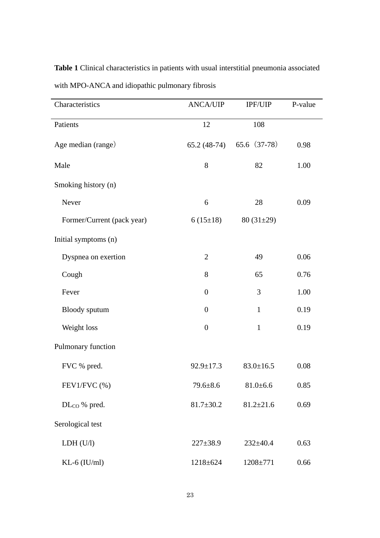| Characteristics            | <b>ANCA/UIP</b>  | <b>IPF/UIP</b>  | P-value |
|----------------------------|------------------|-----------------|---------|
| Patients                   | 12               | 108             |         |
| Age median (range)         | $65.2(48-74)$    | 65.6 (37-78)    | 0.98    |
| Male                       | $8\,$            | 82              | 1.00    |
| Smoking history (n)        |                  |                 |         |
| Never                      | 6                | 28              | 0.09    |
| Former/Current (pack year) | $6(15\pm18)$     | $80(31\pm29)$   |         |
| Initial symptoms (n)       |                  |                 |         |
| Dyspnea on exertion        | $\overline{2}$   | 49              | 0.06    |
| Cough                      | 8                | 65              | 0.76    |
| Fever                      | $\boldsymbol{0}$ | 3               | 1.00    |
| Bloody sputum              | $\boldsymbol{0}$ | $\mathbf{1}$    | 0.19    |
| Weight loss                | $\boldsymbol{0}$ | $\mathbf{1}$    | 0.19    |
| Pulmonary function         |                  |                 |         |
| FVC % pred.                | $92.9 \pm 17.3$  | $83.0 \pm 16.5$ | 0.08    |
| $FEV1/FVC$ $%$             | $79.6 \pm 8.6$   | $81.0 + 6.6$    | 0.85    |
| $DL_{CO}$ % pred.          | $81.7 \pm 30.2$  | $81.2 \pm 21.6$ | 0.69    |
| Serological test           |                  |                 |         |
| LDH (U/I)                  | $227 \pm 38.9$   | $232 \pm 40.4$  | 0.63    |
| $KL-6$ (IU/ml)             | $1218 \pm 624$   | 1208±771        | 0.66    |

**Table 1** Clinical characteristics in patients with usual interstitial pneumonia associated with MPO-ANCA and idiopathic pulmonary fibrosis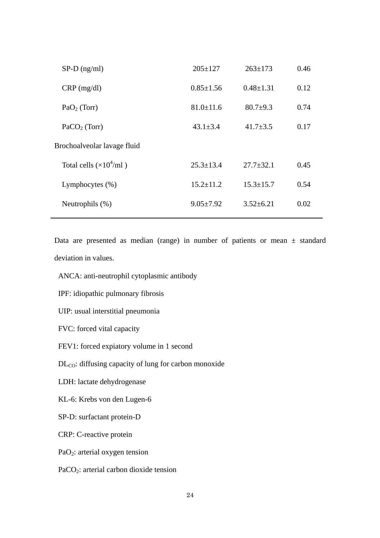| $SP-D$ (ng/ml)                  | $205 \pm 127$   | $263 \pm 173$   | 0.46 |
|---------------------------------|-----------------|-----------------|------|
| $CRP$ (mg/dl)                   | $0.85 \pm 1.56$ | $0.48 \pm 1.31$ | 0.12 |
| $PaO2$ (Torr)                   | $81.0 \pm 11.6$ | $80.7+9.3$      | 0.74 |
| $PaCO2$ (Torr)                  | $43.1 \pm 3.4$  | $41.7 \pm 3.5$  | 0.17 |
| Brochoalveolar lavage fluid     |                 |                 |      |
| Total cells $(\times 10^4$ /ml) | $25.3 \pm 13.4$ | $27.7 \pm 32.1$ | 0.45 |
| Lymphocytes $(\% )$             | $15.2 \pm 11.2$ | $15.3 \pm 15.7$ | 0.54 |
| Neutrophils $(\%)$              | $9.05 \pm 7.92$ | $3.52 \pm 6.21$ | 0.02 |
|                                 |                 |                 |      |

Data are presented as median (range) in number of patients or mean  $\pm$  standard deviation in values.

- ANCA: anti-neutrophil cytoplasmic antibody
- IPF: idiopathic pulmonary fibrosis

UIP: usual interstitial pneumonia

FVC: forced vital capacity

FEV1: forced expiatory volume in 1 second

DL<sub>CO</sub>: diffusing capacity of lung for carbon monoxide

LDH: lactate dehydrogenase

KL-6: Krebs von den Lugen-6

SP-D: surfactant protein-D

CRP: C-reactive protein

PaO2: arterial oxygen tension

PaCO2: arterial carbon dioxide tension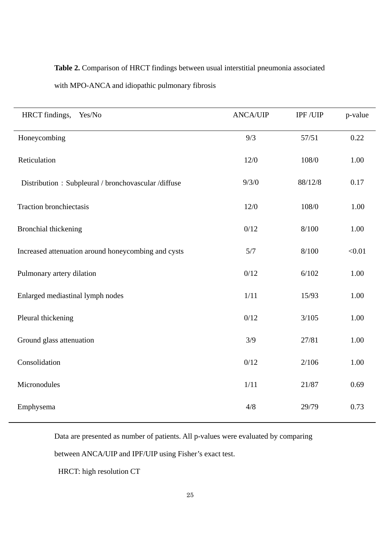### **Table 2.** Comparison of HRCT findings between usual interstitial pneumonia associated

| HRCT findings,<br>Yes/No                            | <b>ANCA/UIP</b> | IPF/UIP | p-value |
|-----------------------------------------------------|-----------------|---------|---------|
| Honeycombing                                        | 9/3             | 57/51   | 0.22    |
| Reticulation                                        | 12/0            | 108/0   | 1.00    |
| Distribution: Subpleural / bronchovascular /diffuse | 9/3/0           | 88/12/8 | 0.17    |
| <b>Traction bronchiectasis</b>                      | 12/0            | 108/0   | 1.00    |
| <b>Bronchial thickening</b>                         | 0/12            | 8/100   | 1.00    |
| Increased attenuation around honeycombing and cysts | 5/7             | 8/100   | < 0.01  |
| Pulmonary artery dilation                           | 0/12            | 6/102   | 1.00    |
| Enlarged mediastinal lymph nodes                    | 1/11            | 15/93   | 1.00    |
| Pleural thickening                                  | 0/12            | 3/105   | 1.00    |
| Ground glass attenuation                            | 3/9             | 27/81   | 1.00    |
| Consolidation                                       | 0/12            | 2/106   | 1.00    |
| Micronodules                                        | 1/11            | 21/87   | 0.69    |
|                                                     |                 |         |         |

#### with MPO-ANCA and idiopathic pulmonary fibrosis

Data are presented as number of patients. All p-values were evaluated by comparing

Emphysema 29/79 0.73

between ANCA/UIP and IPF/UIP using Fisher's exact test.

HRCT: high resolution CT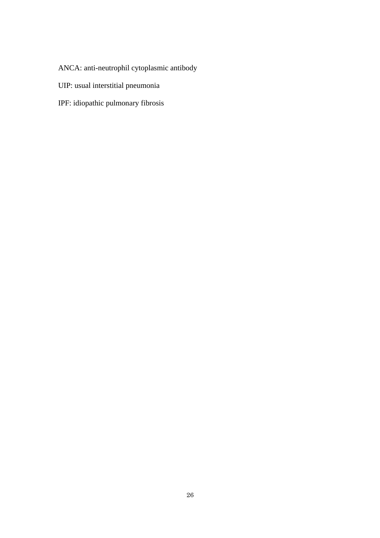ANCA: anti-neutrophil cytoplasmic antibody

- UIP: usual interstitial pneumonia
- IPF: idiopathic pulmonary fibrosis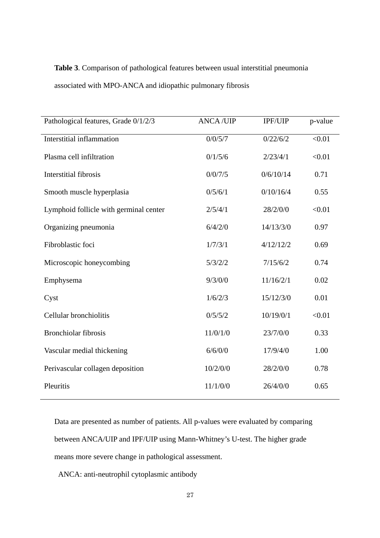# **Table 3**. Comparison of pathological features between usual interstitial pneumonia associated with MPO-ANCA and idiopathic pulmonary fibrosis

| Pathological features, Grade 0/1/2/3   | <b>ANCA/UIP</b> | IPF/UIP   | p-value |
|----------------------------------------|-----------------|-----------|---------|
| <b>Interstitial inflammation</b>       | 0/0/5/7         | 0/22/6/2  | < 0.01  |
| Plasma cell infiltration               | 0/1/5/6         | 2/23/4/1  | < 0.01  |
| <b>Interstitial fibrosis</b>           | 0/0/7/5         | 0/6/10/14 | 0.71    |
| Smooth muscle hyperplasia              | 0/5/6/1         | 0/10/16/4 | 0.55    |
| Lymphoid follicle with germinal center | 2/5/4/1         | 28/2/0/0  | < 0.01  |
| Organizing pneumonia                   | 6/4/2/0         | 14/13/3/0 | 0.97    |
| Fibroblastic foci                      | 1/7/3/1         | 4/12/12/2 | 0.69    |
| Microscopic honeycombing               | 5/3/2/2         | 7/15/6/2  | 0.74    |
| Emphysema                              | 9/3/0/0         | 11/16/2/1 | 0.02    |
| Cyst                                   | 1/6/2/3         | 15/12/3/0 | 0.01    |
| Cellular bronchiolitis                 | 0/5/5/2         | 10/19/0/1 | < 0.01  |
| <b>Bronchiolar fibrosis</b>            | 11/0/1/0        | 23/7/0/0  | 0.33    |
| Vascular medial thickening             | 6/6/0/0         | 17/9/4/0  | 1.00    |
| Perivascular collagen deposition       | 10/2/0/0        | 28/2/0/0  | 0.78    |
| Pleuritis                              | 11/1/0/0        | 26/4/0/0  | 0.65    |

Data are presented as number of patients. All p-values were evaluated by comparing between ANCA/UIP and IPF/UIP using Mann-Whitney's U-test. The higher grade means more severe change in pathological assessment.

ANCA: anti-neutrophil cytoplasmic antibody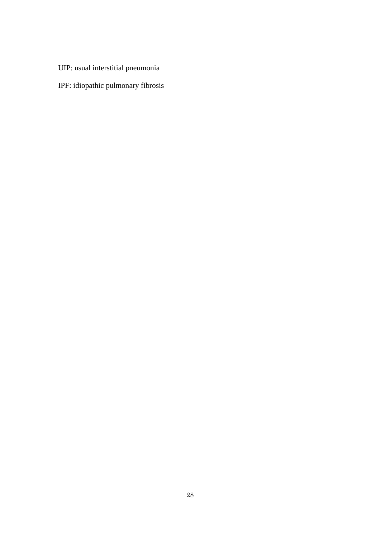- UIP: usual interstitial pneumonia
- IPF: idiopathic pulmonary fibrosis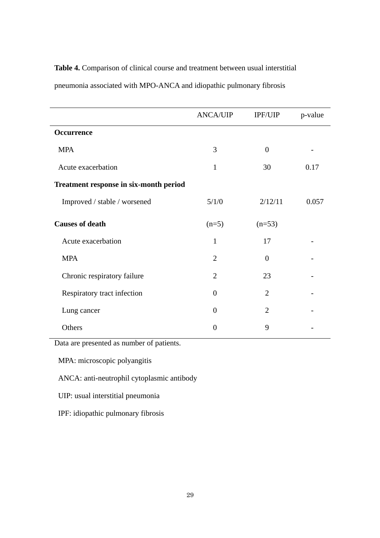|                                        | <b>ANCA/UIP</b> | IPF/UIP        | p-value |
|----------------------------------------|-----------------|----------------|---------|
| <b>Occurrence</b>                      |                 |                |         |
| <b>MPA</b>                             | 3               | $\Omega$       |         |
| Acute exacerbation                     | 1               | 30             | 0.17    |
| Treatment response in six-month period |                 |                |         |
| Improved / stable / worsened           | 5/1/0           | 2/12/11        | 0.057   |
| <b>Causes of death</b>                 | $(n=5)$         | $(n=53)$       |         |
| Acute exacerbation                     | $\mathbf{1}$    | 17             |         |
| <b>MPA</b>                             | $\overline{2}$  | $\theta$       |         |
| Chronic respiratory failure            | $\overline{2}$  | 23             |         |
| Respiratory tract infection            | $\Omega$        | $\overline{2}$ |         |
| Lung cancer                            | $\Omega$        | $\overline{2}$ |         |
| Others                                 | 0               | 9              |         |

**Table 4.** Comparison of clinical course and treatment between usual interstitial pneumonia associated with MPO-ANCA and idiopathic pulmonary fibrosis

Data are presented as number of patients.

MPA: microscopic polyangitis

ANCA: anti-neutrophil cytoplasmic antibody

UIP: usual interstitial pneumonia

IPF: idiopathic pulmonary fibrosis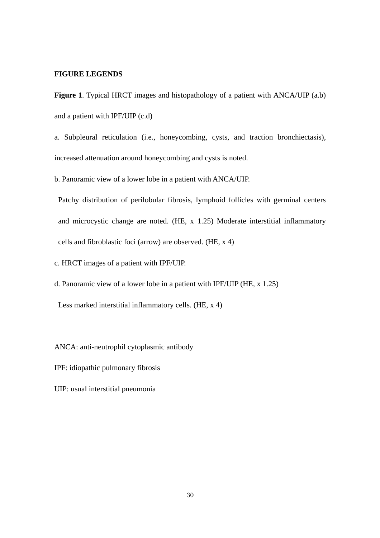#### **FIGURE LEGENDS**

**Figure 1**. Typical HRCT images and histopathology of a patient with ANCA/UIP (a.b) and a patient with IPF/UIP (c.d)

a. Subpleural reticulation (i.e., honeycombing, cysts, and traction bronchiectasis), increased attenuation around honeycombing and cysts is noted.

b. Panoramic view of a lower lobe in a patient with ANCA/UIP.

Patchy distribution of perilobular fibrosis, lymphoid follicles with germinal centers and microcystic change are noted. (HE, x 1.25) Moderate interstitial inflammatory cells and fibroblastic foci (arrow) are observed. (HE, x 4)

c. HRCT images of a patient with IPF/UIP.

d. Panoramic view of a lower lobe in a patient with IPF/UIP (HE, x 1.25)

Less marked interstitial inflammatory cells. (HE, x 4)

ANCA: anti-neutrophil cytoplasmic antibody

IPF: idiopathic pulmonary fibrosis

UIP: usual interstitial pneumonia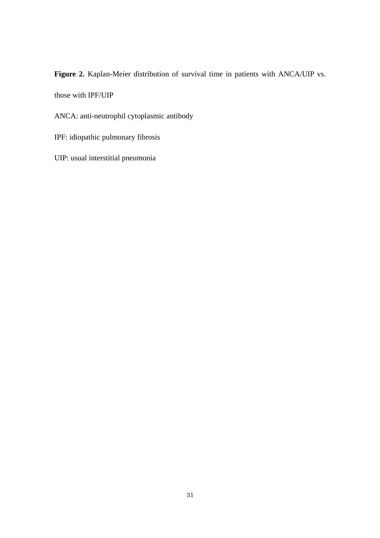**Figure 2.** Kaplan-Meier distribution of survival time in patients with ANCA/UIP vs.

those with IPF/UIP

ANCA: anti-neutrophil cytoplasmic antibody

IPF: idiopathic pulmonary fibrosis

UIP: usual interstitial pneumonia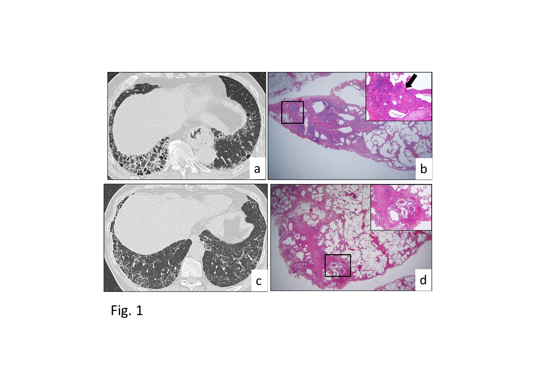